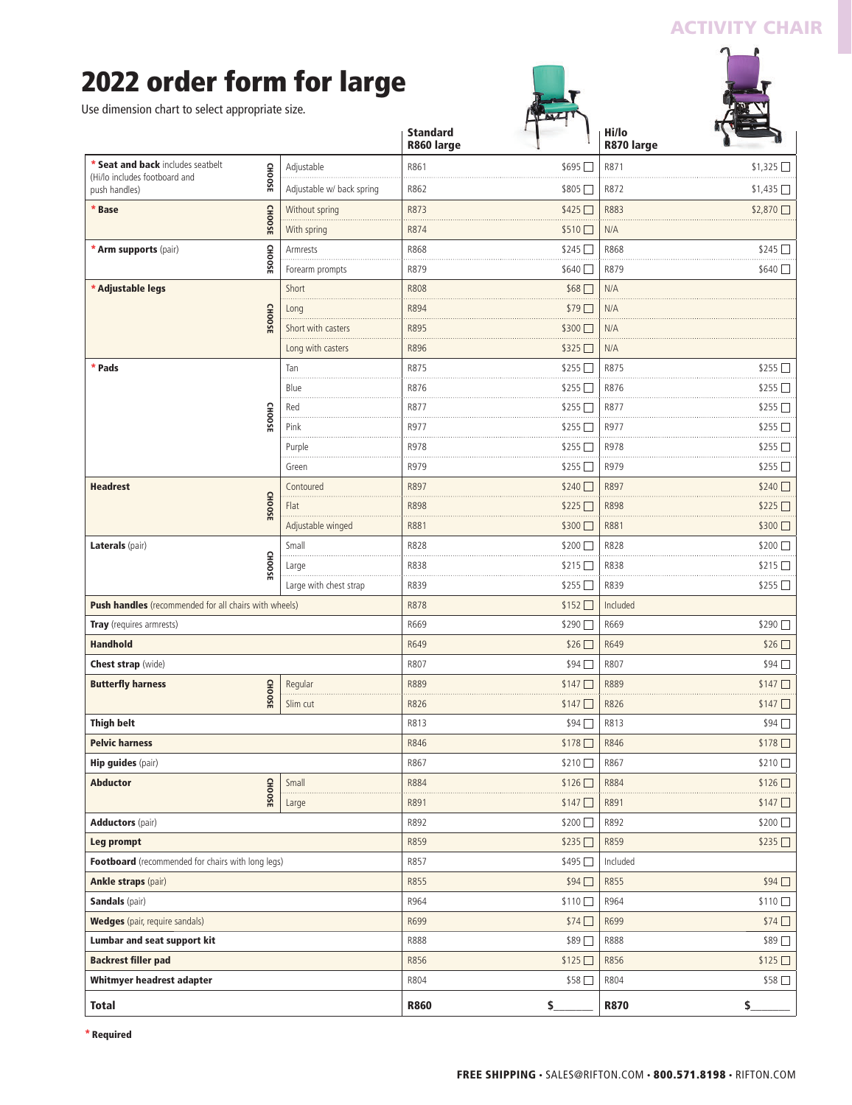### **ACTIVITY CHAIR**

## **2022 order form for large**

|                                                       |               |                           | <b>Standard</b><br>R860 large |                  | Hi/lo<br>R870 large |                  |
|-------------------------------------------------------|---------------|---------------------------|-------------------------------|------------------|---------------------|------------------|
| * Seat and back includes seatbelt                     |               | Adjustable                | R861                          | $$695$ $\Box$    | R871                | \$1325           |
| (Hi/lo includes footboard and<br>push handles)        | <b>CHOOSE</b> | Adjustable w/ back spring | R862                          | \$805□           | R872                | $$1,435$ $\Box$  |
| <b>CHOOSE</b><br>* Base                               |               | Without spring            | R873                          | \$425            | R883                | $$2,870$ $\Box$  |
|                                                       |               | With spring               | R874                          | \$510□           | N/A                 |                  |
| <b>GHOOSE</b><br>* Arm supports (pair)                |               | Armrests                  | R868                          | \$245            | R868                | \$245            |
|                                                       |               | Forearm prompts           | R879                          | \$640 □          | R879                | \$640            |
| * Adjustable legs                                     |               | Short                     | <b>R808</b>                   | $$68$ $\square$  | N/A                 |                  |
|                                                       |               | Long                      | R894                          | $$79$ $\Box$     | N/A                 |                  |
|                                                       | <b>CHOOSE</b> | Short with casters        | R895                          | \$300 □          | N/A                 |                  |
|                                                       |               | Long with casters         | R896                          | \$325□           | N/A                 |                  |
| * Pads                                                |               | Tan                       | R875                          | \$255            | R875                | $$255$ $\square$ |
|                                                       |               | Blue                      | R876                          | $$255$ $\square$ | R876                | \$255 □          |
|                                                       |               | Red                       | R877                          | $$255$ $\square$ | R877                | \$255            |
|                                                       | CHOOSE        | Pink                      | R977                          | $$255$ $\square$ | R977                | $$255$ $\Box$    |
|                                                       |               | Purple                    | R978                          | \$255 □          | R978                | \$255            |
|                                                       |               | Green                     | R979                          | \$255            | R979                | $$255$ $\square$ |
| <b>Headrest</b>                                       |               | Contoured                 | R897                          | \$240            | R897                | \$240            |
| <b>CHOOSE</b>                                         |               | Flat                      | <b>R898</b>                   | \$225            | R898                | \$225            |
|                                                       |               | Adjustable winged         | R881                          | \$300            | R881                | \$300口           |
| Laterals (pair)                                       |               | Small                     | R828                          | \$200            | R828                | $$200$ $\Box$    |
|                                                       | <b>CHOOSE</b> | Large                     | R838                          | \$215            | R838                | \$215            |
|                                                       |               | Large with chest strap    | R839                          | \$255□           | R839                | \$255□           |
| Push handles (recommended for all chairs with wheels) |               |                           | R878                          | \$152            | Included            |                  |
| Tray (requires armrests)                              |               |                           | R669                          | \$290            | R669                | \$290            |
| <b>Handhold</b>                                       |               |                           | R649                          | \$26             | R649                | \$26             |
| <b>Chest strap</b> (wide)                             |               |                           | R807                          | \$94             | R807                | $$94$ $\square$  |
| <b>Butterfly harness</b>                              |               | Regular                   | R889                          | \$147            | R889                | \$147            |
|                                                       | <b>CHOOSE</b> | Slim cut                  | R826                          | $$147$ $\Box$    | R826                | \$147            |
| <b>Thigh belt</b>                                     |               | R813                      | \$94□                         | R813             | \$94                |                  |
| <b>Pelvic harness</b>                                 |               |                           | R846                          | \$178            | R846                | \$178            |
| <b>Hip guides</b> (pair)                              |               |                           | R867                          | \$210            | R867                | $$210$ $\Box$    |
| <b>Abductor</b><br><b>CHOOSE</b>                      |               | Small                     | R884                          | \$126□           | R884                | \$126            |
|                                                       |               | Large                     | R891                          | \$147□           | R891                | \$147            |
| <b>Adductors</b> (pair)                               |               |                           | R892                          | \$200□           | R892                | \$200 □          |
| Leg prompt                                            |               |                           | R859                          | \$235□           | R859                | \$235            |
| Footboard (recommended for chairs with long legs)     |               |                           | R857                          | \$495            | Included            |                  |
| <b>Ankle straps (pair)</b>                            |               |                           | R855                          | \$94□            | R855                | \$94             |
| <b>Sandals</b> (pair)                                 |               |                           | R964                          | \$110□           | R964                | $$110$ $\Box$    |
| <b>Wedges</b> (pair, require sandals)                 |               |                           | R699                          | \$74□            | R699                | \$74             |
| Lumbar and seat support kit                           |               |                           | R888                          | \$89□            | <b>R888</b>         | \$89□            |
| <b>Backrest filler pad</b>                            |               |                           | R856                          | \$125□           | R856                | \$125            |
| Whitmyer headrest adapter                             |               |                           | R804                          | \$58□            | R804                | \$58□            |
|                                                       |               |                           |                               |                  |                     |                  |

**\* Required**